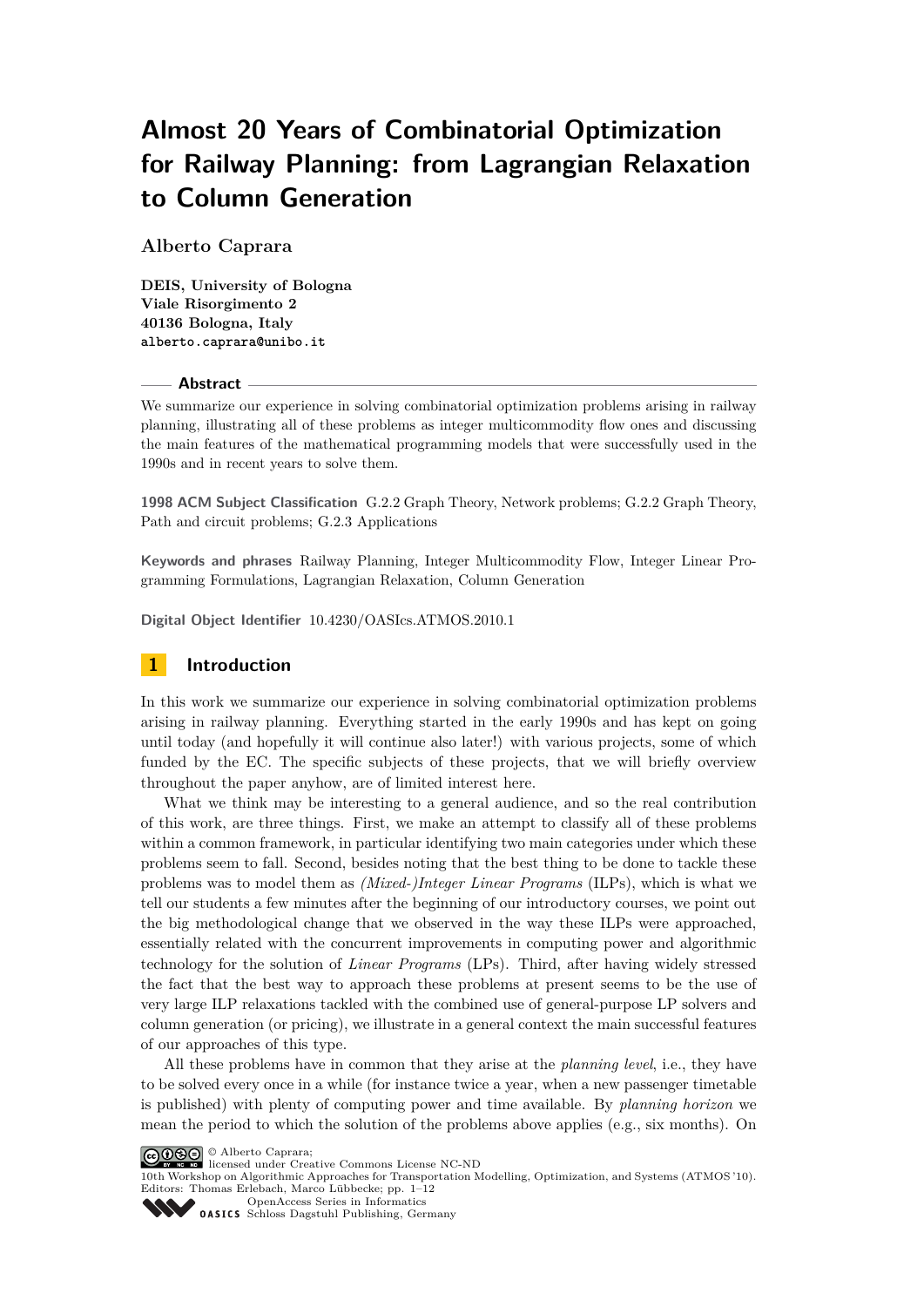# **Almost 20 Years of Combinatorial Optimization for Railway Planning: from Lagrangian Relaxation to Column Generation**

**Alberto Caprara**

**DEIS, University of Bologna Viale Risorgimento 2 40136 Bologna, Italy** alberto.caprara@unibo.it

#### **Abstract**

We summarize our experience in solving combinatorial optimization problems arising in railway planning, illustrating all of these problems as integer multicommodity flow ones and discussing the main features of the mathematical programming models that were successfully used in the 1990s and in recent years to solve them.

**1998 ACM Subject Classification** G.2.2 Graph Theory, Network problems; G.2.2 Graph Theory, Path and circuit problems; G.2.3 Applications

**Keywords and phrases** Railway Planning, Integer Multicommodity Flow, Integer Linear Programming Formulations, Lagrangian Relaxation, Column Generation

**Digital Object Identifier** 10.4230/OASIcs.ATMOS.2010.1

# **1 Introduction**

In this work we summarize our experience in solving combinatorial optimization problems arising in railway planning. Everything started in the early 1990s and has kept on going until today (and hopefully it will continue also later!) with various projects, some of which funded by the EC. The specific subjects of these projects, that we will briefly overview throughout the paper anyhow, are of limited interest here.

What we think may be interesting to a general audience, and so the real contribution of this work, are three things. First, we make an attempt to classify all of these problems within a common framework, in particular identifying two main categories under which these problems seem to fall. Second, besides noting that the best thing to be done to tackle these problems was to model them as *(Mixed-)Integer Linear Programs* (ILPs), which is what we tell our students a few minutes after the beginning of our introductory courses, we point out the big methodological change that we observed in the way these ILPs were approached, essentially related with the concurrent improvements in computing power and algorithmic technology for the solution of *Linear Programs* (LPs). Third, after having widely stressed the fact that the best way to approach these problems at present seems to be the use of very large ILP relaxations tackled with the combined use of general-purpose LP solvers and column generation (or pricing), we illustrate in a general context the main successful features of our approaches of this type.

All these problems have in common that they arise at the *planning level*, i.e., they have to be solved every once in a while (for instance twice a year, when a new passenger timetable is published) with plenty of computing power and time available. By *planning horizon* we mean the period to which the solution of the problems above applies (e.g., six months). On

10th Workshop on Algorithmic Approaches for Transportation Modelling, Optimization, and Systems (ATMOS '10). Editors: Thomas Erlebach, Marco Lübbecke; pp. 1[–12](#page-11-0)

[OpenAccess Series in Informatics](http://www.dagstuhl.de/oasics/) [Schloss Dagstuhl Publishing, Germany](http://www.dagstuhl.de/)

<sup>©</sup> Alberto Caprara; licensed under Creative Commons License NC-ND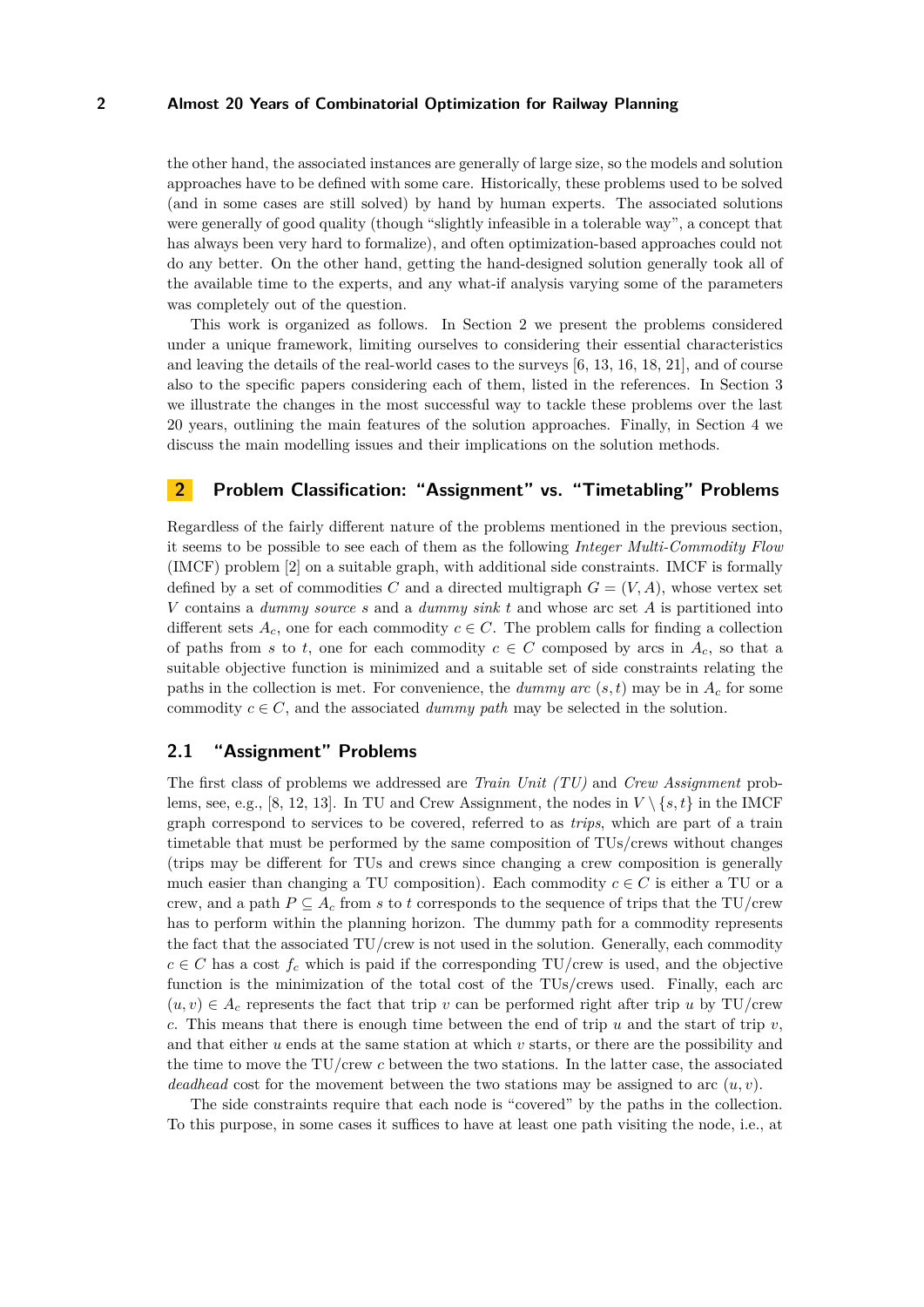the other hand, the associated instances are generally of large size, so the models and solution approaches have to be defined with some care. Historically, these problems used to be solved (and in some cases are still solved) by hand by human experts. The associated solutions were generally of good quality (though "slightly infeasible in a tolerable way", a concept that has always been very hard to formalize), and often optimization-based approaches could not do any better. On the other hand, getting the hand-designed solution generally took all of the available time to the experts, and any what-if analysis varying some of the parameters was completely out of the question.

This work is organized as follows. In Section [2](#page-1-0) we present the problems considered under a unique framework, limiting ourselves to considering their essential characteristics and leaving the details of the real-world cases to the surveys [\[6,](#page-11-1) [13,](#page-11-2) [16,](#page-11-3) [18,](#page-11-4) [21\]](#page-11-5), and of course also to the specific papers considering each of them, listed in the references. In Section [3](#page-3-0) we illustrate the changes in the most successful way to tackle these problems over the last 20 years, outlining the main features of the solution approaches. Finally, in Section [4](#page-5-0) we discuss the main modelling issues and their implications on the solution methods.

# <span id="page-1-0"></span>**2 Problem Classification: "Assignment" vs. "Timetabling" Problems**

Regardless of the fairly different nature of the problems mentioned in the previous section, it seems to be possible to see each of them as the following *Integer Multi-Commodity Flow* (IMCF) problem [\[2\]](#page-10-0) on a suitable graph, with additional side constraints. IMCF is formally defined by a set of commodities C and a directed multigraph  $G = (V, A)$ , whose vertex set *V* contains a *dummy source s* and a *dummy sink t* and whose arc set *A* is partitioned into different sets  $A_c$ , one for each commodity  $c \in C$ . The problem calls for finding a collection of paths from *s* to *t*, one for each commodity  $c \in C$  composed by arcs in  $A_c$ , so that a suitable objective function is minimized and a suitable set of side constraints relating the paths in the collection is met. For convenience, the *dummy arc*  $(s, t)$  may be in  $A_c$  for some commodity  $c \in \mathbb{C}$ , and the associated *dummy path* may be selected in the solution.

# **2.1 "Assignment" Problems**

The first class of problems we addressed are *Train Unit (TU)* and *Crew Assignment* prob-lems, see, e.g., [\[8,](#page-11-6) [12,](#page-11-7) [13\]](#page-11-2). In TU and Crew Assignment, the nodes in  $V \setminus \{s, t\}$  in the IMCF graph correspond to services to be covered, referred to as *trips*, which are part of a train timetable that must be performed by the same composition of TUs/crews without changes (trips may be different for TUs and crews since changing a crew composition is generally much easier than changing a TU composition). Each commodity  $c \in C$  is either a TU or a crew, and a path  $P \subseteq A_c$  from *s* to *t* corresponds to the sequence of trips that the TU/crew has to perform within the planning horizon. The dummy path for a commodity represents the fact that the associated TU/crew is not used in the solution. Generally, each commodity  $c \in C$  has a cost  $f_c$  which is paid if the corresponding TU/crew is used, and the objective function is the minimization of the total cost of the TUs/crews used. Finally, each arc  $(u, v) \in A_c$  represents the fact that trip v can be performed right after trip u by TU/crew *c*. This means that there is enough time between the end of trip *u* and the start of trip *v*, and that either *u* ends at the same station at which *v* starts, or there are the possibility and the time to move the TU/crew *c* between the two stations. In the latter case, the associated *deadhead* cost for the movement between the two stations may be assigned to arc (*u, v*).

The side constraints require that each node is "covered" by the paths in the collection. To this purpose, in some cases it suffices to have at least one path visiting the node, i.e., at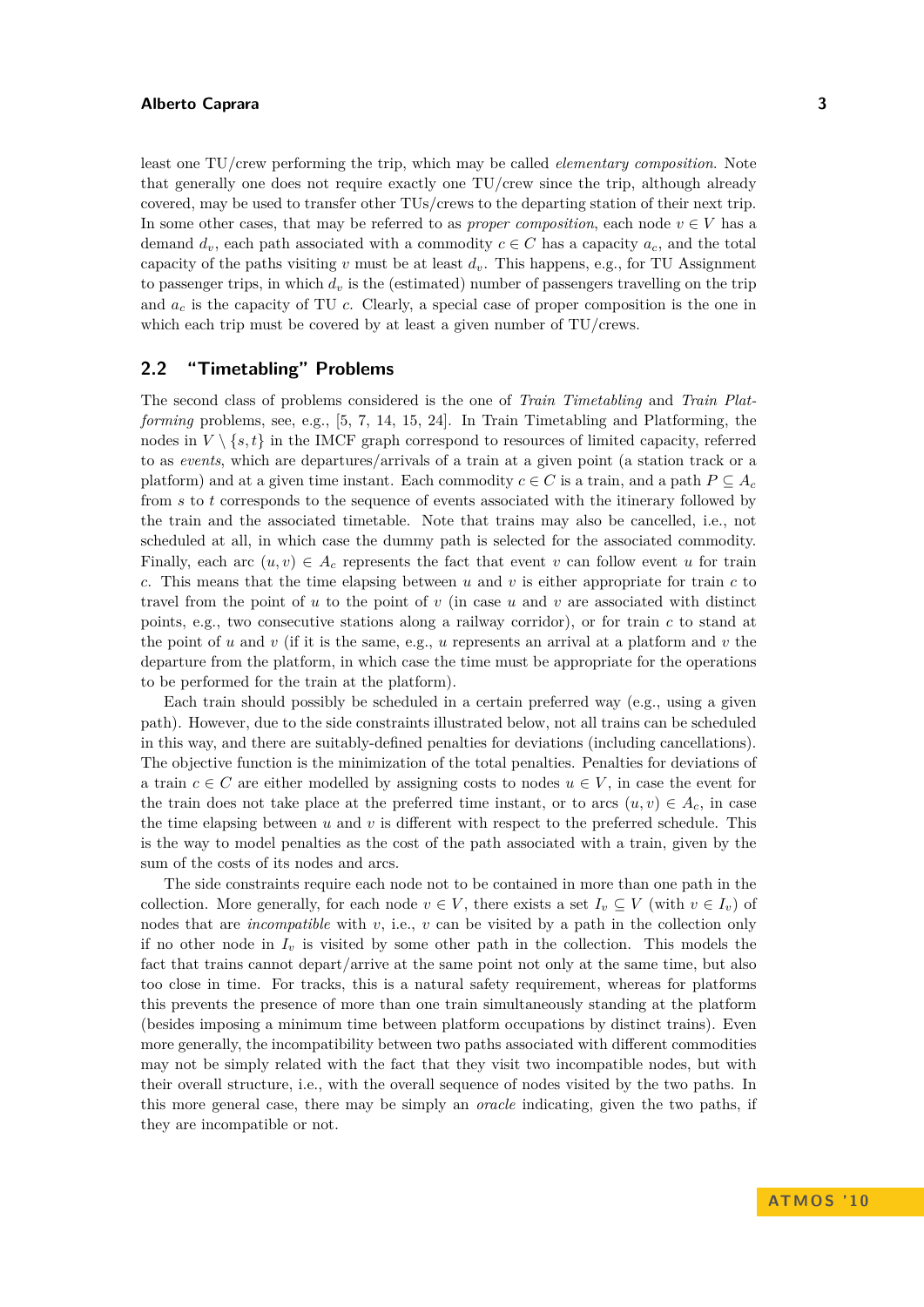least one TU/crew performing the trip, which may be called *elementary composition*. Note that generally one does not require exactly one TU/crew since the trip, although already covered, may be used to transfer other TUs/crews to the departing station of their next trip. In some other cases, that may be referred to as *proper composition*, each node  $v \in V$  has a demand  $d_v$ , each path associated with a commodity  $c \in C$  has a capacity  $a_c$ , and the total capacity of the paths visiting *v* must be at least  $d<sub>v</sub>$ . This happens, e.g., for TU Assignment to passenger trips, in which  $d<sub>v</sub>$  is the (estimated) number of passengers travelling on the trip and  $a_c$  is the capacity of TU  $c$ . Clearly, a special case of proper composition is the one in which each trip must be covered by at least a given number of TU/crews.

# <span id="page-2-0"></span>**2.2 "Timetabling" Problems**

The second class of problems considered is the one of *Train Timetabling* and *Train Platforming* problems, see, e.g., [\[5,](#page-10-1) [7,](#page-11-8) [14,](#page-11-9) [15,](#page-11-10) [24\]](#page-11-11). In Train Timetabling and Platforming, the nodes in  $V \setminus \{s, t\}$  in the IMCF graph correspond to resources of limited capacity, referred to as *events*, which are departures/arrivals of a train at a given point (a station track or a platform) and at a given time instant. Each commodity  $c \in C$  is a train, and a path  $P \subseteq A_c$ from *s* to *t* corresponds to the sequence of events associated with the itinerary followed by the train and the associated timetable. Note that trains may also be cancelled, i.e., not scheduled at all, in which case the dummy path is selected for the associated commodity. Finally, each arc  $(u, v) \in A_c$  represents the fact that event *v* can follow event *u* for train *c*. This means that the time elapsing between *u* and *v* is either appropriate for train *c* to travel from the point of *u* to the point of *v* (in case *u* and *v* are associated with distinct points, e.g., two consecutive stations along a railway corridor), or for train *c* to stand at the point of *u* and *v* (if it is the same, e.g., *u* represents an arrival at a platform and *v* the departure from the platform, in which case the time must be appropriate for the operations to be performed for the train at the platform).

Each train should possibly be scheduled in a certain preferred way (e.g., using a given path). However, due to the side constraints illustrated below, not all trains can be scheduled in this way, and there are suitably-defined penalties for deviations (including cancellations). The objective function is the minimization of the total penalties. Penalties for deviations of a train  $c \in C$  are either modelled by assigning costs to nodes  $u \in V$ , in case the event for the train does not take place at the preferred time instant, or to arcs  $(u, v) \in A_c$ , in case the time elapsing between  $u$  and  $v$  is different with respect to the preferred schedule. This is the way to model penalties as the cost of the path associated with a train, given by the sum of the costs of its nodes and arcs.

The side constraints require each node not to be contained in more than one path in the collection. More generally, for each node  $v \in V$ , there exists a set  $I_v \subseteq V$  (with  $v \in I_v$ ) of nodes that are *incompatible* with *v*, i.e., *v* can be visited by a path in the collection only if no other node in  $I_v$  is visited by some other path in the collection. This models the fact that trains cannot depart/arrive at the same point not only at the same time, but also too close in time. For tracks, this is a natural safety requirement, whereas for platforms this prevents the presence of more than one train simultaneously standing at the platform (besides imposing a minimum time between platform occupations by distinct trains). Even more generally, the incompatibility between two paths associated with different commodities may not be simply related with the fact that they visit two incompatible nodes, but with their overall structure, i.e., with the overall sequence of nodes visited by the two paths. In this more general case, there may be simply an *oracle* indicating, given the two paths, if they are incompatible or not.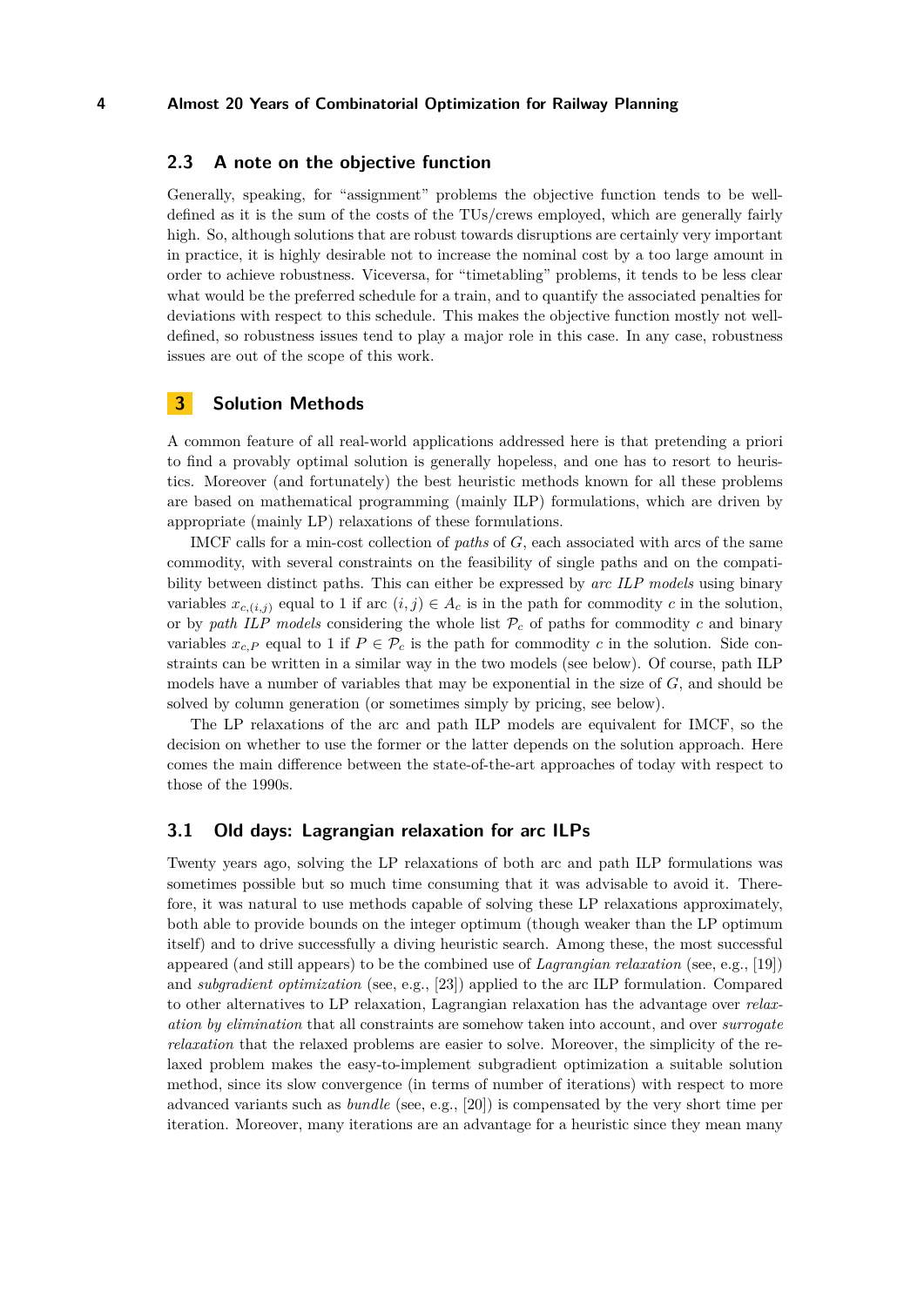# **2.3 A note on the objective function**

Generally, speaking, for "assignment" problems the objective function tends to be welldefined as it is the sum of the costs of the TUs/crews employed, which are generally fairly high. So, although solutions that are robust towards disruptions are certainly very important in practice, it is highly desirable not to increase the nominal cost by a too large amount in order to achieve robustness. Viceversa, for "timetabling" problems, it tends to be less clear what would be the preferred schedule for a train, and to quantify the associated penalties for deviations with respect to this schedule. This makes the objective function mostly not welldefined, so robustness issues tend to play a major role in this case. In any case, robustness issues are out of the scope of this work.

# <span id="page-3-0"></span>**3 Solution Methods**

A common feature of all real-world applications addressed here is that pretending a priori to find a provably optimal solution is generally hopeless, and one has to resort to heuristics. Moreover (and fortunately) the best heuristic methods known for all these problems are based on mathematical programming (mainly ILP) formulations, which are driven by appropriate (mainly LP) relaxations of these formulations.

IMCF calls for a min-cost collection of *paths* of *G*, each associated with arcs of the same commodity, with several constraints on the feasibility of single paths and on the compatibility between distinct paths. This can either be expressed by *arc ILP models* using binary variables  $x_{c,(i,j)}$  equal to 1 if arc  $(i,j) \in A_c$  is in the path for commodity *c* in the solution, or by *path ILP models* considering the whole list  $P_c$  of paths for commodity *c* and binary variables  $x_c$  *P* equal to 1 if  $P \in \mathcal{P}_c$  is the path for commodity *c* in the solution. Side constraints can be written in a similar way in the two models (see below). Of course, path ILP models have a number of variables that may be exponential in the size of *G*, and should be solved by column generation (or sometimes simply by pricing, see below).

The LP relaxations of the arc and path ILP models are equivalent for IMCF, so the decision on whether to use the former or the latter depends on the solution approach. Here comes the main difference between the state-of-the-art approaches of today with respect to those of the 1990s.

## **3.1 Old days: Lagrangian relaxation for arc ILPs**

Twenty years ago, solving the LP relaxations of both arc and path ILP formulations was sometimes possible but so much time consuming that it was advisable to avoid it. Therefore, it was natural to use methods capable of solving these LP relaxations approximately, both able to provide bounds on the integer optimum (though weaker than the LP optimum itself) and to drive successfully a diving heuristic search. Among these, the most successful appeared (and still appears) to be the combined use of *Lagrangian relaxation* (see, e.g., [\[19\]](#page-11-12)) and *subgradient optimization* (see, e.g., [\[23\]](#page-11-13)) applied to the arc ILP formulation. Compared to other alternatives to LP relaxation, Lagrangian relaxation has the advantage over *relaxation by elimination* that all constraints are somehow taken into account, and over *surrogate relaxation* that the relaxed problems are easier to solve. Moreover, the simplicity of the relaxed problem makes the easy-to-implement subgradient optimization a suitable solution method, since its slow convergence (in terms of number of iterations) with respect to more advanced variants such as *bundle* (see, e.g., [\[20\]](#page-11-14)) is compensated by the very short time per iteration. Moreover, many iterations are an advantage for a heuristic since they mean many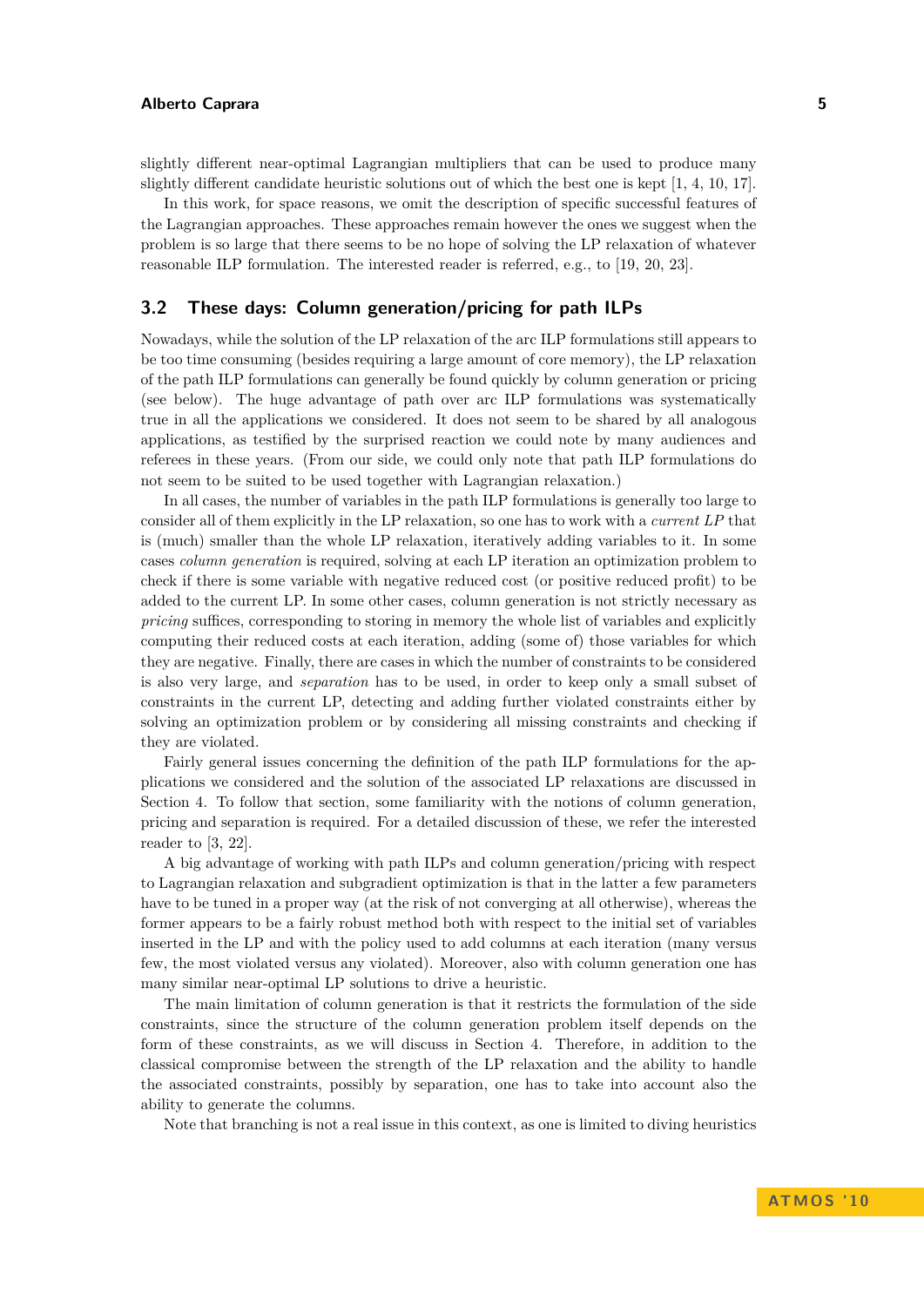slightly different near-optimal Lagrangian multipliers that can be used to produce many slightly different candidate heuristic solutions out of which the best one is kept [\[1,](#page-10-2) [4,](#page-10-3) [10,](#page-11-15) [17\]](#page-11-16).

In this work, for space reasons, we omit the description of specific successful features of the Lagrangian approaches. These approaches remain however the ones we suggest when the problem is so large that there seems to be no hope of solving the LP relaxation of whatever reasonable ILP formulation. The interested reader is referred, e.g., to [\[19,](#page-11-12) [20,](#page-11-14) [23\]](#page-11-13).

# **3.2 These days: Column generation/pricing for path ILPs**

Nowadays, while the solution of the LP relaxation of the arc ILP formulations still appears to be too time consuming (besides requiring a large amount of core memory), the LP relaxation of the path ILP formulations can generally be found quickly by column generation or pricing (see below). The huge advantage of path over arc ILP formulations was systematically true in all the applications we considered. It does not seem to be shared by all analogous applications, as testified by the surprised reaction we could note by many audiences and referees in these years. (From our side, we could only note that path ILP formulations do not seem to be suited to be used together with Lagrangian relaxation.)

In all cases, the number of variables in the path ILP formulations is generally too large to consider all of them explicitly in the LP relaxation, so one has to work with a *current LP* that is (much) smaller than the whole LP relaxation, iteratively adding variables to it. In some cases *column generation* is required, solving at each LP iteration an optimization problem to check if there is some variable with negative reduced cost (or positive reduced profit) to be added to the current LP. In some other cases, column generation is not strictly necessary as *pricing* suffices, corresponding to storing in memory the whole list of variables and explicitly computing their reduced costs at each iteration, adding (some of) those variables for which they are negative. Finally, there are cases in which the number of constraints to be considered is also very large, and *separation* has to be used, in order to keep only a small subset of constraints in the current LP, detecting and adding further violated constraints either by solving an optimization problem or by considering all missing constraints and checking if they are violated.

Fairly general issues concerning the definition of the path ILP formulations for the applications we considered and the solution of the associated LP relaxations are discussed in Section [4.](#page-5-0) To follow that section, some familiarity with the notions of column generation, pricing and separation is required. For a detailed discussion of these, we refer the interested reader to [\[3,](#page-10-4) [22\]](#page-11-17).

A big advantage of working with path ILPs and column generation/pricing with respect to Lagrangian relaxation and subgradient optimization is that in the latter a few parameters have to be tuned in a proper way (at the risk of not converging at all otherwise), whereas the former appears to be a fairly robust method both with respect to the initial set of variables inserted in the LP and with the policy used to add columns at each iteration (many versus few, the most violated versus any violated). Moreover, also with column generation one has many similar near-optimal LP solutions to drive a heuristic.

The main limitation of column generation is that it restricts the formulation of the side constraints, since the structure of the column generation problem itself depends on the form of these constraints, as we will discuss in Section [4.](#page-5-0) Therefore, in addition to the classical compromise between the strength of the LP relaxation and the ability to handle the associated constraints, possibly by separation, one has to take into account also the ability to generate the columns.

Note that branching is not a real issue in this context, as one is limited to diving heuristics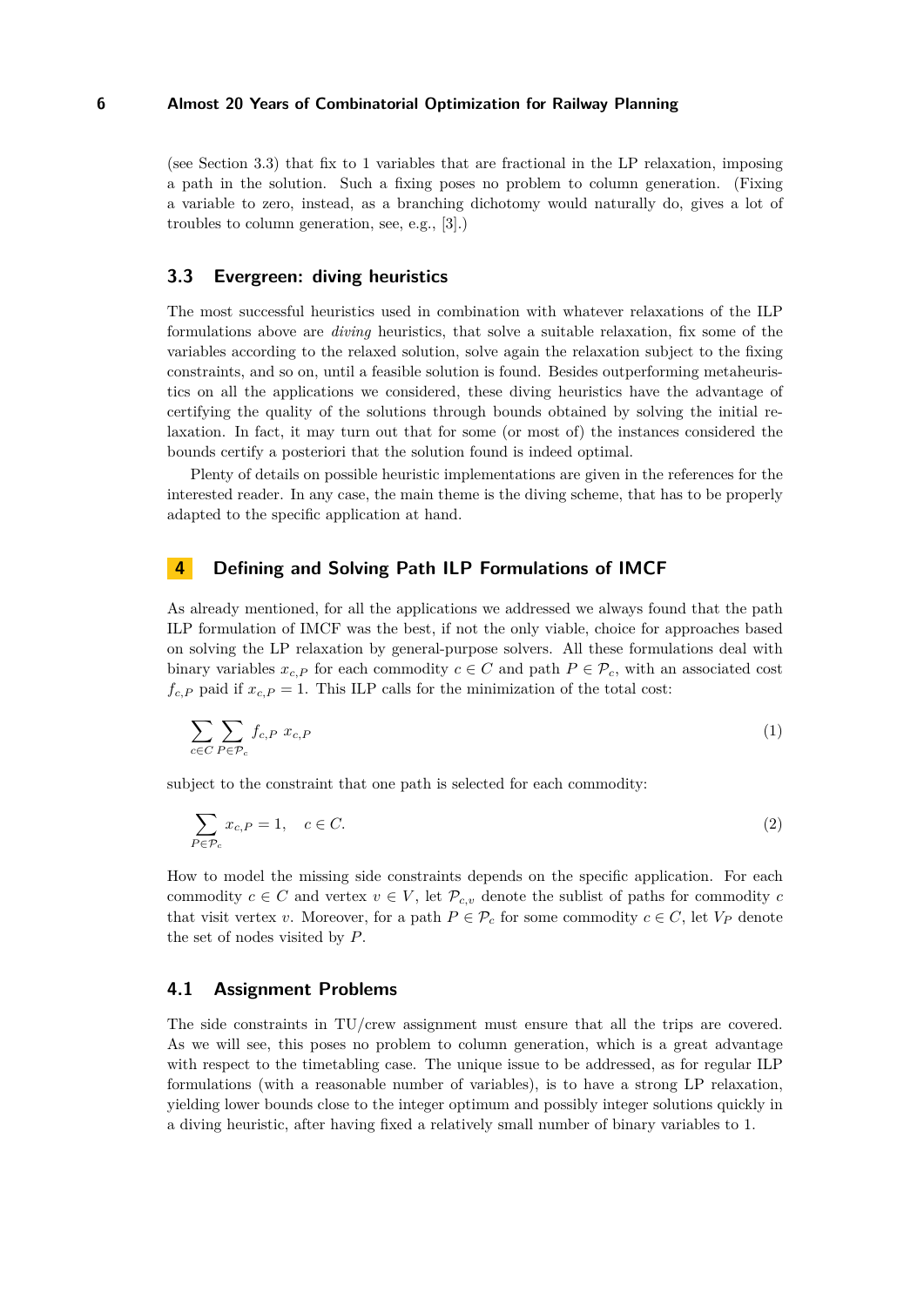(see Section [3.3\)](#page-5-1) that fix to 1 variables that are fractional in the LP relaxation, imposing a path in the solution. Such a fixing poses no problem to column generation. (Fixing a variable to zero, instead, as a branching dichotomy would naturally do, gives a lot of troubles to column generation, see, e.g., [\[3\]](#page-10-4).)

# <span id="page-5-1"></span>**3.3 Evergreen: diving heuristics**

The most successful heuristics used in combination with whatever relaxations of the ILP formulations above are *diving* heuristics, that solve a suitable relaxation, fix some of the variables according to the relaxed solution, solve again the relaxation subject to the fixing constraints, and so on, until a feasible solution is found. Besides outperforming metaheuristics on all the applications we considered, these diving heuristics have the advantage of certifying the quality of the solutions through bounds obtained by solving the initial relaxation. In fact, it may turn out that for some (or most of) the instances considered the bounds certify a posteriori that the solution found is indeed optimal.

Plenty of details on possible heuristic implementations are given in the references for the interested reader. In any case, the main theme is the diving scheme, that has to be properly adapted to the specific application at hand.

# <span id="page-5-0"></span>**4 Defining and Solving Path ILP Formulations of IMCF**

As already mentioned, for all the applications we addressed we always found that the path ILP formulation of IMCF was the best, if not the only viable, choice for approaches based on solving the LP relaxation by general-purpose solvers. All these formulations deal with binary variables  $x_{c,P}$  for each commodity  $c \in C$  and path  $P \in \mathcal{P}_c$ , with an associated cost  $f_{c,P}$  paid if  $x_{c,P} = 1$ . This ILP calls for the minimization of the total cost:

$$
\sum_{c \in C} \sum_{P \in \mathcal{P}_c} f_{c,P} \ x_{c,P} \tag{1}
$$

subject to the constraint that one path is selected for each commodity:

<span id="page-5-2"></span>
$$
\sum_{P \in \mathcal{P}_c} x_{c,P} = 1, \quad c \in C. \tag{2}
$$

How to model the missing side constraints depends on the specific application. For each commodity  $c \in C$  and vertex  $v \in V$ , let  $\mathcal{P}_{c,v}$  denote the sublist of paths for commodity *c* that visit vertex *v*. Moreover, for a path  $P \in \mathcal{P}_c$  for some commodity  $c \in C$ , let  $V_P$  denote the set of nodes visited by *P*.

## **4.1 Assignment Problems**

The side constraints in TU/crew assignment must ensure that all the trips are covered. As we will see, this poses no problem to column generation, which is a great advantage with respect to the timetabling case. The unique issue to be addressed, as for regular ILP formulations (with a reasonable number of variables), is to have a strong LP relaxation, yielding lower bounds close to the integer optimum and possibly integer solutions quickly in a diving heuristic, after having fixed a relatively small number of binary variables to 1.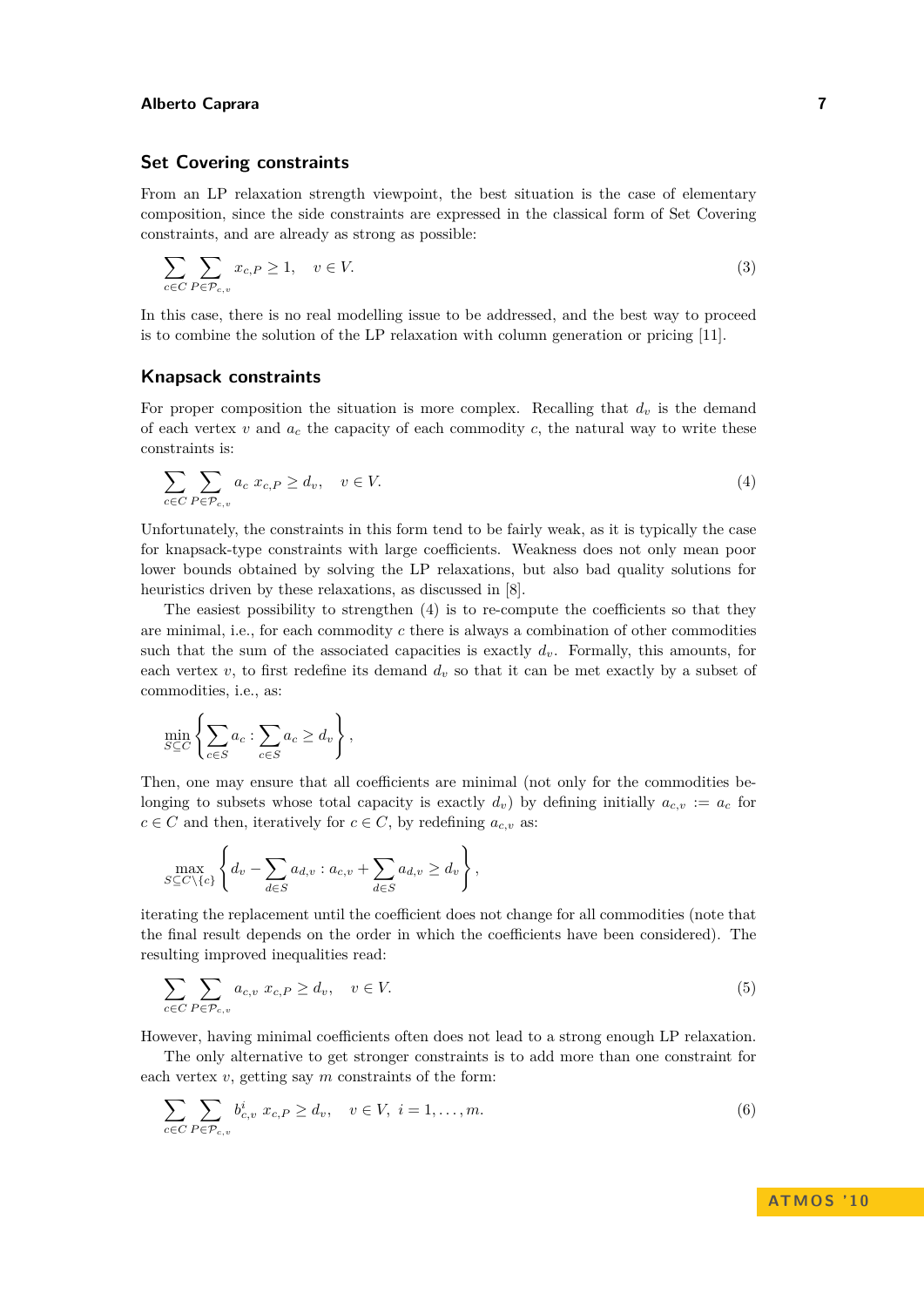# **Set Covering constraints**

From an LP relaxation strength viewpoint, the best situation is the case of elementary composition, since the side constraints are expressed in the classical form of Set Covering constraints, and are already as strong as possible:

$$
\sum_{c \in C} \sum_{P \in \mathcal{P}_{c,v}} x_{c,P} \ge 1, \quad v \in V.
$$
\n(3)

In this case, there is no real modelling issue to be addressed, and the best way to proceed is to combine the solution of the LP relaxation with column generation or pricing [\[11\]](#page-11-18).

#### **Knapsack constraints**

For proper composition the situation is more complex. Recalling that  $d<sub>v</sub>$  is the demand of each vertex  $v$  and  $a_c$  the capacity of each commodity  $c$ , the natural way to write these constraints is:

<span id="page-6-0"></span>
$$
\sum_{c \in C} \sum_{P \in \mathcal{P}_{c,v}} a_c \ x_{c,P} \ge d_v, \quad v \in V. \tag{4}
$$

Unfortunately, the constraints in this form tend to be fairly weak, as it is typically the case for knapsack-type constraints with large coefficients. Weakness does not only mean poor lower bounds obtained by solving the LP relaxations, but also bad quality solutions for heuristics driven by these relaxations, as discussed in  $[8]$ .

The easiest possibility to strengthen [\(4\)](#page-6-0) is to re-compute the coefficients so that they are minimal, i.e., for each commodity *c* there is always a combination of other commodities such that the sum of the associated capacities is exactly  $d_v$ . Formally, this amounts, for each vertex  $v$ , to first redefine its demand  $d_v$  so that it can be met exactly by a subset of commodities, i.e., as:

$$
\min_{S \subseteq C} \left\{ \sum_{c \in S} a_c : \sum_{c \in S} a_c \ge d_v \right\},\
$$

Then, one may ensure that all coefficients are minimal (not only for the commodities belonging to subsets whose total capacity is exactly  $d_v$ ) by defining initially  $a_{c,v} := a_c$  for  $c \in C$  and then, iteratively for  $c \in C$ , by redefining  $a_{c,v}$  as:

$$
\max_{S \subseteq C \setminus \{c\}} \left\{ d_v - \sum_{d \in S} a_{d,v} : a_{c,v} + \sum_{d \in S} a_{d,v} \geq d_v \right\},\,
$$

iterating the replacement until the coefficient does not change for all commodities (note that the final result depends on the order in which the coefficients have been considered). The resulting improved inequalities read:

<span id="page-6-1"></span>
$$
\sum_{c \in C} \sum_{P \in \mathcal{P}_{c,v}} a_{c,v} \ x_{c,P} \ge d_v, \quad v \in V. \tag{5}
$$

However, having minimal coefficients often does not lead to a strong enough LP relaxation.

The only alternative to get stronger constraints is to add more than one constraint for each vertex *v*, getting say *m* constraints of the form:

$$
\sum_{c \in C} \sum_{P \in \mathcal{P}_{c,v}} b_{c,v}^i x_{c,P} \ge d_v, \quad v \in V, \ i = 1, \dots, m.
$$
 (6)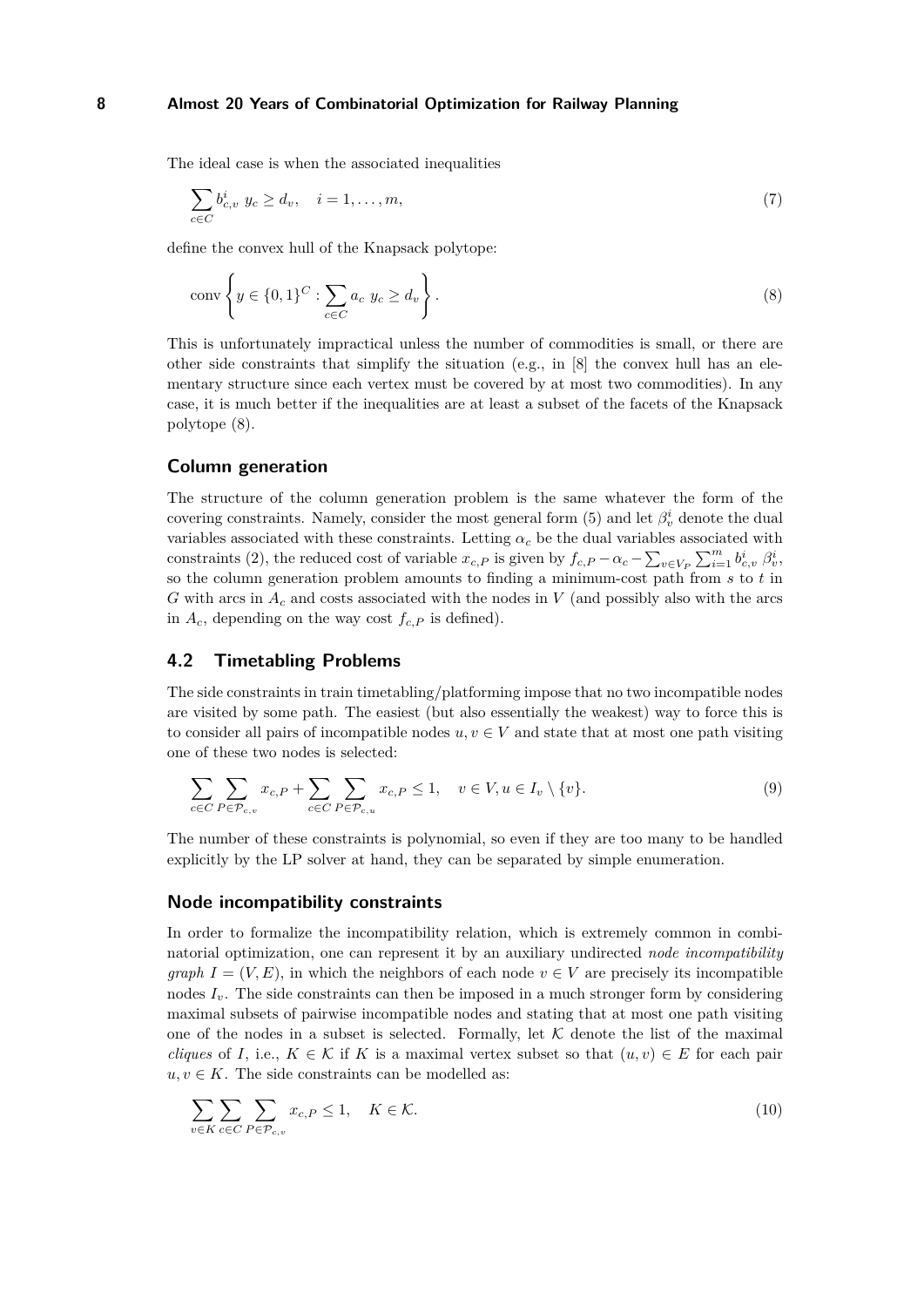The ideal case is when the associated inequalities

<span id="page-7-0"></span>
$$
\sum_{c \in C} b_{c,v}^i \ y_c \ge d_v, \quad i = 1, \dots, m,
$$
\n(7)

define the convex hull of the Knapsack polytope:

$$
\operatorname{conv}\left\{y \in \{0,1\}^C : \sum_{c \in C} a_c \ y_c \ge d_v\right\}.
$$
\n
$$
(8)
$$

This is unfortunately impractical unless the number of commodities is small, or there are other side constraints that simplify the situation  $(e.g., in [8]$  $(e.g., in [8]$  the convex hull has an elementary structure since each vertex must be covered by at most two commodities). In any case, it is much better if the inequalities are at least a subset of the facets of the Knapsack polytope [\(8\)](#page-7-0).

# **Column generation**

The structure of the column generation problem is the same whatever the form of the covering constraints. Namely, consider the most general form [\(5\)](#page-6-1) and let  $\beta_v^i$  denote the dual variables associated with these constraints. Letting  $\alpha_c$  be the dual variables associated with constraints [\(2\)](#page-5-2), the reduced cost of variable  $x_{c,P}$  is given by  $f_{c,P} - \alpha_c - \sum_{v \in V_P} \sum_{i=1}^m b_{c,v}^i \beta_v^i$ , so the column generation problem amounts to finding a minimum-cost path from *s* to *t* in *G* with arcs in *A<sup>c</sup>* and costs associated with the nodes in *V* (and possibly also with the arcs in  $A_c$ , depending on the way cost  $f_{c,P}$  is defined).

# **4.2 Timetabling Problems**

The side constraints in train timetabling/platforming impose that no two incompatible nodes are visited by some path. The easiest (but also essentially the weakest) way to force this is to consider all pairs of incompatible nodes  $u, v \in V$  and state that at most one path visiting one of these two nodes is selected:

<span id="page-7-2"></span>
$$
\sum_{c \in C} \sum_{P \in \mathcal{P}_{c,v}} x_{c,P} + \sum_{c \in C} \sum_{P \in \mathcal{P}_{c,u}} x_{c,P} \le 1, \quad v \in V, u \in I_v \setminus \{v\}.
$$
\n
$$
(9)
$$

The number of these constraints is polynomial, so even if they are too many to be handled explicitly by the LP solver at hand, they can be separated by simple enumeration.

### **Node incompatibility constraints**

In order to formalize the incompatibility relation, which is extremely common in combinatorial optimization, one can represent it by an auxiliary undirected *node incompatibility graph*  $I = (V, E)$ , in which the neighbors of each node  $v \in V$  are precisely its incompatible nodes  $I<sub>v</sub>$ . The side constraints can then be imposed in a much stronger form by considering maximal subsets of pairwise incompatible nodes and stating that at most one path visiting one of the nodes in a subset is selected. Formally, let  $K$  denote the list of the maximal *cliques* of *I*, i.e.,  $K \in \mathcal{K}$  if *K* is a maximal vertex subset so that  $(u, v) \in E$  for each pair  $u, v \in K$ . The side constraints can be modelled as:

<span id="page-7-1"></span>
$$
\sum_{v \in K} \sum_{c \in C} \sum_{P \in \mathcal{P}_{c,v}} x_{c,P} \le 1, \quad K \in \mathcal{K}.
$$
\n(10)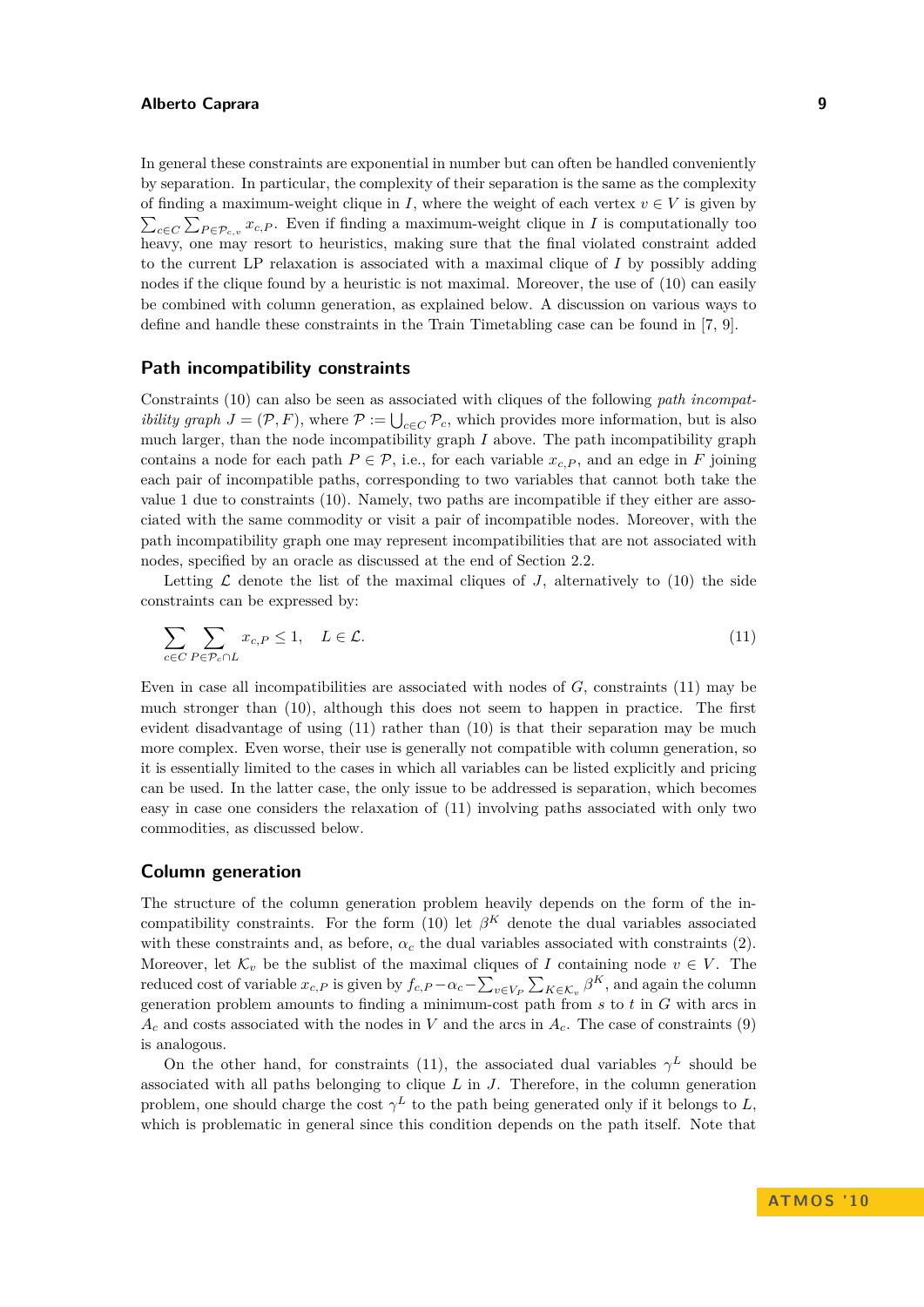In general these constraints are exponential in number but can often be handled conveniently by separation. In particular, the complexity of their separation is the same as the complexity of finding a maximum-weight clique in *I*, where the weight of each vertex  $v \in V$  is given by  $\sum_{c \in C} \sum_{P \in \mathcal{P}_{c,v}} x_{c,P}$ . Even if finding a maximum-weight clique in *I* is computationally too heavy, one may resort to heuristics, making sure that the final violated constraint added to the current LP relaxation is associated with a maximal clique of *I* by possibly adding nodes if the clique found by a heuristic is not maximal. Moreover, the use of [\(10\)](#page-7-1) can easily be combined with column generation, as explained below. A discussion on various ways to define and handle these constraints in the Train Timetabling case can be found in [\[7,](#page-11-8) [9\]](#page-11-19).

## **Path incompatibility constraints**

Constraints [\(10\)](#page-7-1) can also be seen as associated with cliques of the following *path incompatibility graph*  $J = (\mathcal{P}, F)$ , where  $\mathcal{P} := \bigcup_{c \in C} \mathcal{P}_c$ , which provides more information, but is also much larger, than the node incompatibility graph *I* above. The path incompatibility graph contains a node for each path  $P \in \mathcal{P}$ , i.e., for each variable  $x_{c,P}$ , and an edge in *F* joining each pair of incompatible paths, corresponding to two variables that cannot both take the value 1 due to constraints [\(10\)](#page-7-1). Namely, two paths are incompatible if they either are associated with the same commodity or visit a pair of incompatible nodes. Moreover, with the path incompatibility graph one may represent incompatibilities that are not associated with nodes, specified by an oracle as discussed at the end of Section [2.2.](#page-2-0)

Letting  $\mathcal L$  denote the list of the maximal cliques of  $J$ , alternatively to [\(10\)](#page-7-1) the side constraints can be expressed by:

<span id="page-8-0"></span>
$$
\sum_{c \in C} \sum_{P \in \mathcal{P}_c \cap L} x_{c,P} \le 1, \quad L \in \mathcal{L}.
$$
\n(11)

Even in case all incompatibilities are associated with nodes of *G*, constraints [\(11\)](#page-8-0) may be much stronger than [\(10\)](#page-7-1), although this does not seem to happen in practice. The first evident disadvantage of using [\(11\)](#page-8-0) rather than [\(10\)](#page-7-1) is that their separation may be much more complex. Even worse, their use is generally not compatible with column generation, so it is essentially limited to the cases in which all variables can be listed explicitly and pricing can be used. In the latter case, the only issue to be addressed is separation, which becomes easy in case one considers the relaxation of [\(11\)](#page-8-0) involving paths associated with only two commodities, as discussed below.

# **Column generation**

The structure of the column generation problem heavily depends on the form of the in-compatibility constraints. For the form [\(10\)](#page-7-1) let  $\beta^{K}$  denote the dual variables associated with these constraints and, as before,  $\alpha_c$  the dual variables associated with constraints [\(2\)](#page-5-2). Moreover, let  $\mathcal{K}_v$  be the sublist of the maximal cliques of *I* containing node  $v \in V$ . The reduced cost of variable  $x_{c,P}$  is given by  $f_{c,P} - \alpha_c - \sum_{v \in V_P} \sum_{K \in \mathcal{K}_v} \beta^K$ , and again the column generation problem amounts to finding a minimum-cost path from *s* to *t* in *G* with arcs in *A<sup>c</sup>* and costs associated with the nodes in *V* and the arcs in *Ac*. The case of constraints [\(9\)](#page-7-2) is analogous.

On the other hand, for constraints [\(11\)](#page-8-0), the associated dual variables  $\gamma^L$  should be associated with all paths belonging to clique *L* in *J*. Therefore, in the column generation problem, one should charge the cost  $\gamma^L$  to the path being generated only if it belongs to *L*, which is problematic in general since this condition depends on the path itself. Note that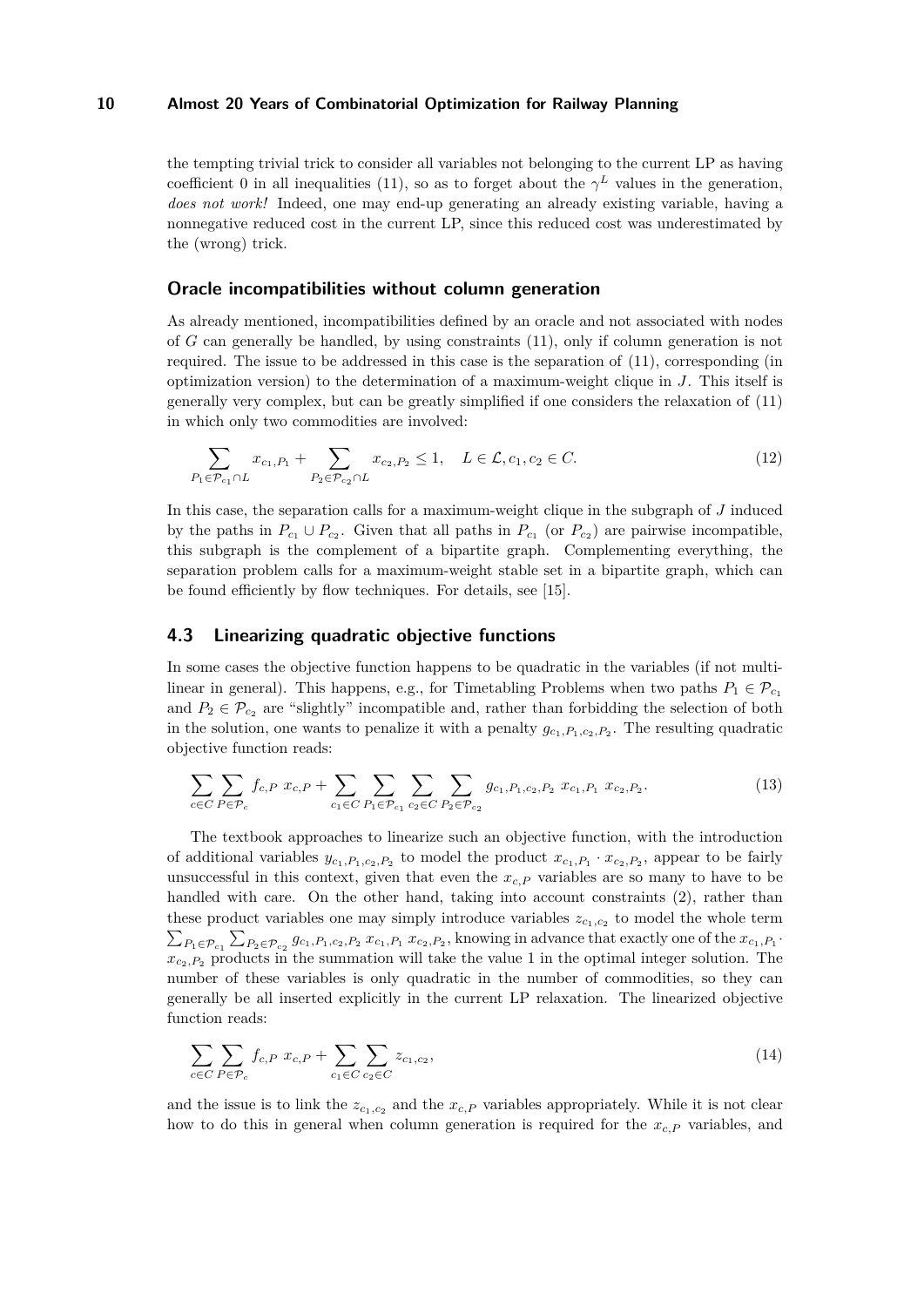the tempting trivial trick to consider all variables not belonging to the current LP as having coefficient 0 in all inequalities [\(11\)](#page-8-0), so as to forget about the  $\gamma^L$  values in the generation, *does not work!* Indeed, one may end-up generating an already existing variable, having a nonnegative reduced cost in the current LP, since this reduced cost was underestimated by the (wrong) trick.

## **Oracle incompatibilities without column generation**

As already mentioned, incompatibilities defined by an oracle and not associated with nodes of *G* can generally be handled, by using constraints [\(11\)](#page-8-0), only if column generation is not required. The issue to be addressed in this case is the separation of [\(11\)](#page-8-0), corresponding (in optimization version) to the determination of a maximum-weight clique in *J*. This itself is generally very complex, but can be greatly simplified if one considers the relaxation of [\(11\)](#page-8-0) in which only two commodities are involved:

$$
\sum_{P_1 \in \mathcal{P}_{c_1} \cap L} x_{c_1, P_1} + \sum_{P_2 \in \mathcal{P}_{c_2} \cap L} x_{c_2, P_2} \le 1, \quad L \in \mathcal{L}, c_1, c_2 \in C.
$$
 (12)

In this case, the separation calls for a maximum-weight clique in the subgraph of *J* induced by the paths in  $P_{c_1} \cup P_{c_2}$ . Given that all paths in  $P_{c_1}$  (or  $P_{c_2}$ ) are pairwise incompatible, this subgraph is the complement of a bipartite graph. Complementing everything, the separation problem calls for a maximum-weight stable set in a bipartite graph, which can be found efficiently by flow techniques. For details, see [\[15\]](#page-11-10).

# **4.3 Linearizing quadratic objective functions**

In some cases the objective function happens to be quadratic in the variables (if not multilinear in general). This happens, e.g., for Timetabling Problems when two paths  $P_1 \in \mathcal{P}_c$ and  $P_2 \in \mathcal{P}_{c_2}$  are "slightly" incompatible and, rather than forbidding the selection of both in the solution, one wants to penalize it with a penalty  $g_{c_1}, g_{c_2}, g_{c_2}$ . The resulting quadratic objective function reads:

$$
\sum_{c \in C} \sum_{P \in \mathcal{P}_c} f_{c,P} \ x_{c,P} + \sum_{c_1 \in C} \sum_{P_1 \in \mathcal{P}_{c_1}} \sum_{c_2 \in C} \sum_{P_2 \in \mathcal{P}_{c_2}} g_{c_1,P_1,c_2,P_2} \ x_{c_1,P_1} \ x_{c_2,P_2}.
$$
\n(13)

The textbook approaches to linearize such an objective function, with the introduction of additional variables  $y_{c_1, P_1, c_2, P_2}$  to model the product  $x_{c_1, P_1} \cdot x_{c_2, P_2}$ , appear to be fairly unsuccessful in this context, given that even the  $x_{c,P}$  variables are so many to have to be handled with care. On the other hand, taking into account constraints [\(2\)](#page-5-2), rather than these product variables one may simply introduce variables  $z_{c_1,c_2}$  to model the whole term  $\sum_{P_1 \in \mathcal{P}_{c_1}} \sum_{P_2 \in \mathcal{P}_{c_2}} g_{c_1, P_1, c_2, P_2} x_{c_1, P_1} x_{c_2, P_2}$ , knowing in advance that exactly one of the  $x_{c_1, P_1}$ .  $x_{c_2,P_2}$  products in the summation will take the value 1 in the optimal integer solution. The number of these variables is only quadratic in the number of commodities, so they can generally be all inserted explicitly in the current LP relaxation. The linearized objective function reads:

$$
\sum_{c \in C} \sum_{P \in \mathcal{P}_c} f_{c,P} \ x_{c,P} + \sum_{c_1 \in C} \sum_{c_2 \in C} z_{c_1,c_2},\tag{14}
$$

and the issue is to link the  $z_{c_1,c_2}$  and the  $x_{c,P}$  variables appropriately. While it is not clear how to do this in general when column generation is required for the *xc,P* variables, and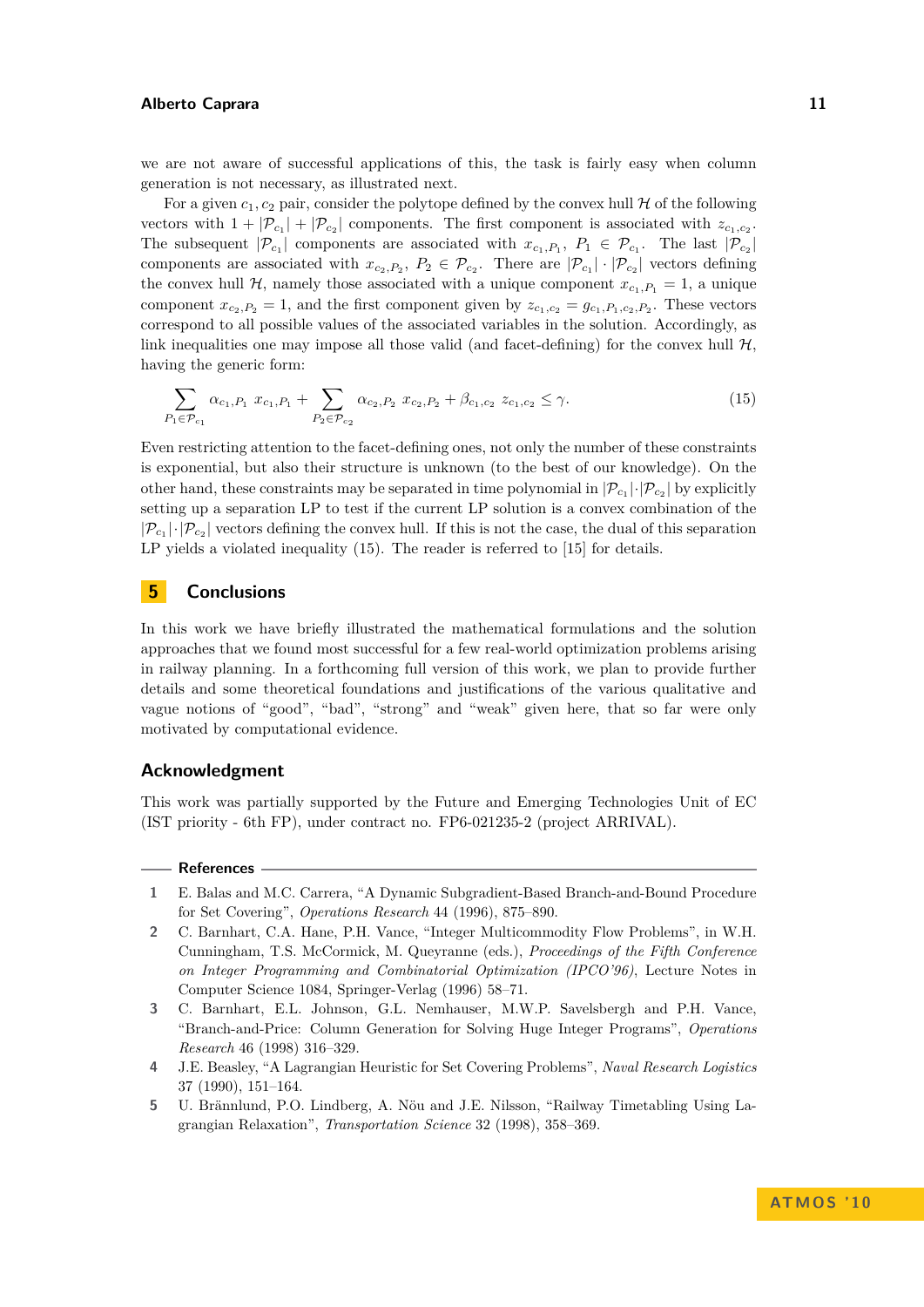we are not aware of successful applications of this, the task is fairly easy when column generation is not necessary, as illustrated next.

For a given  $c_1$ ,  $c_2$  pair, consider the polytope defined by the convex hull  $H$  of the following vectors with  $1 + |\mathcal{P}_{c_1}| + |\mathcal{P}_{c_2}|$  components. The first component is associated with  $z_{c_1,c_2}$ . The subsequent  $|\mathcal{P}_{c_1}|$  components are associated with  $x_{c_1,P_1}, P_1 \in \mathcal{P}_{c_1}$ . The last  $|\mathcal{P}_{c_2}|$ components are associated with  $x_{c_2,P_2}, P_2 \in \mathcal{P}_{c_2}$ . There are  $|\mathcal{P}_{c_1}| \cdot |\mathcal{P}_{c_2}|$  vectors defining the convex hull  $H$ , namely those associated with a unique component  $x_{c_1,P_1} = 1$ , a unique component  $x_{c_2, P_2} = 1$ , and the first component given by  $z_{c_1, c_2} = g_{c_1, P_1, c_2, P_2}$ . These vectors correspond to all possible values of the associated variables in the solution. Accordingly, as link inequalities one may impose all those valid (and facet-defining) for the convex hull  $H$ , having the generic form:

<span id="page-10-5"></span>
$$
\sum_{P_1 \in \mathcal{P}_{c_1}} \alpha_{c_1, P_1} x_{c_1, P_1} + \sum_{P_2 \in \mathcal{P}_{c_2}} \alpha_{c_2, P_2} x_{c_2, P_2} + \beta_{c_1, c_2} z_{c_1, c_2} \le \gamma.
$$
\n(15)

Even restricting attention to the facet-defining ones, not only the number of these constraints is exponential, but also their structure is unknown (to the best of our knowledge). On the other hand, these constraints may be separated in time polynomial in  $|\mathcal{P}_{c_1}|\cdot|\mathcal{P}_{c_2}|$  by explicitly setting up a separation LP to test if the current LP solution is a convex combination of the  $|\mathcal{P}_{c_1}|\cdot|\mathcal{P}_{c_2}|$  vectors defining the convex hull. If this is not the case, the dual of this separation LP yields a violated inequality [\(15\)](#page-10-5). The reader is referred to [\[15\]](#page-11-10) for details.

## **5 Conclusions**

In this work we have briefly illustrated the mathematical formulations and the solution approaches that we found most successful for a few real-world optimization problems arising in railway planning. In a forthcoming full version of this work, we plan to provide further details and some theoretical foundations and justifications of the various qualitative and vague notions of "good", "bad", "strong" and "weak" given here, that so far were only motivated by computational evidence.

# **Acknowledgment**

This work was partially supported by the Future and Emerging Technologies Unit of EC (IST priority - 6th FP), under contract no. FP6-021235-2 (project ARRIVAL).

#### **References**

- <span id="page-10-2"></span>**1** E. Balas and M.C. Carrera, "A Dynamic Subgradient-Based Branch-and-Bound Procedure for Set Covering", *Operations Research* 44 (1996), 875–890.
- <span id="page-10-0"></span>**2** C. Barnhart, C.A. Hane, P.H. Vance, "Integer Multicommodity Flow Problems", in W.H. Cunningham, T.S. McCormick, M. Queyranne (eds.), *Proceedings of the Fifth Conference on Integer Programming and Combinatorial Optimization (IPCO'96)*, Lecture Notes in Computer Science 1084, Springer-Verlag (1996) 58–71.
- <span id="page-10-4"></span>**3** C. Barnhart, E.L. Johnson, G.L. Nemhauser, M.W.P. Savelsbergh and P.H. Vance, "Branch-and-Price: Column Generation for Solving Huge Integer Programs", *Operations Research* 46 (1998) 316–329.
- <span id="page-10-3"></span>**4** J.E. Beasley, "A Lagrangian Heuristic for Set Covering Problems", *Naval Research Logistics* 37 (1990), 151–164.
- <span id="page-10-1"></span>**5** U. Brännlund, P.O. Lindberg, A. Nöu and J.E. Nilsson, "Railway Timetabling Using Lagrangian Relaxation", *Transportation Science* 32 (1998), 358–369.